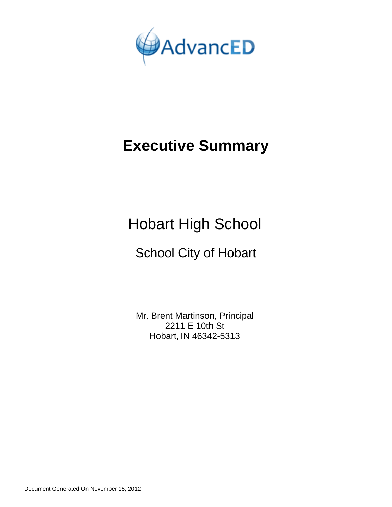

# **Executive Summary**

Hobart High School

# School City of Hobart

Mr. Brent Martinson, Principal 2211 E 10th St Hobart, IN 46342-5313

Document Generated On November 15, 2012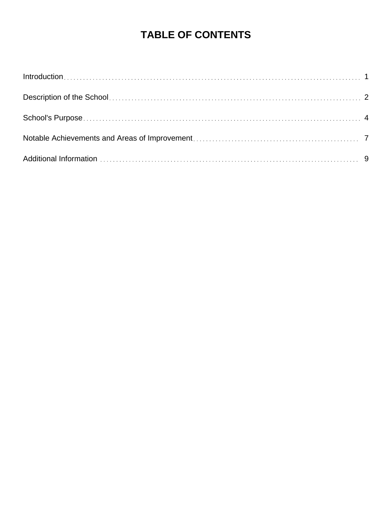# **TABLE OF CONTENTS**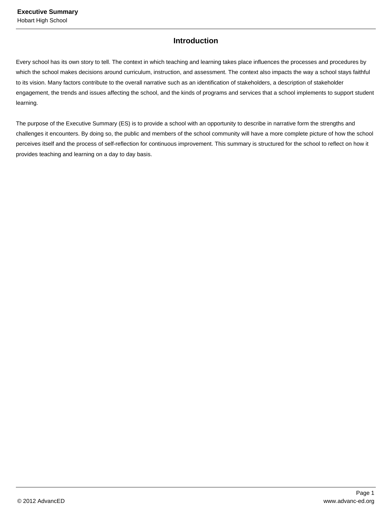# **Introduction**

Every school has its own story to tell. The context in which teaching and learning takes place influences the processes and procedures by which the school makes decisions around curriculum, instruction, and assessment. The context also impacts the way a school stays faithful to its vision. Many factors contribute to the overall narrative such as an identification of stakeholders, a description of stakeholder engagement, the trends and issues affecting the school, and the kinds of programs and services that a school implements to support student learning.

The purpose of the Executive Summary (ES) is to provide a school with an opportunity to describe in narrative form the strengths and challenges it encounters. By doing so, the public and members of the school community will have a more complete picture of how the school perceives itself and the process of self-reflection for continuous improvement. This summary is structured for the school to reflect on how it provides teaching and learning on a day to day basis.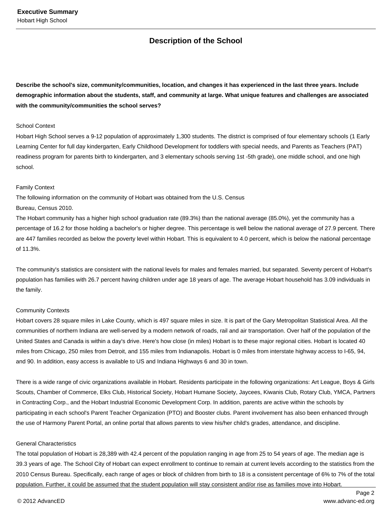# **Description of the School**

**Describe the school's size, community/communities, location, and changes it has experienced in the last three years. Include demographic information about the students, staff, and community at large. What unique features and challenges are associated with the community/communities the school serves?**

#### School Context

Hobart High School serves a 9-12 population of approximately 1,300 students. The district is comprised of four elementary schools (1 Early Learning Center for full day kindergarten, Early Childhood Development for toddlers with special needs, and Parents as Teachers (PAT) readiness program for parents birth to kindergarten, and 3 elementary schools serving 1st -5th grade), one middle school, and one high school.

#### Family Context

The following information on the community of Hobart was obtained from the U.S. Census Bureau, Census 2010.

The Hobart community has a higher high school graduation rate (89.3%) than the national average (85.0%), yet the community has a percentage of 16.2 for those holding a bachelor's or higher degree. This percentage is well below the national average of 27.9 percent. There are 447 families recorded as below the poverty level within Hobart. This is equivalent to 4.0 percent, which is below the national percentage of 11.3%.

The community's statistics are consistent with the national levels for males and females married, but separated. Seventy percent of Hobart's population has families with 26.7 percent having children under age 18 years of age. The average Hobart household has 3.09 individuals in the family.

#### Community Contexts

Hobart covers 28 square miles in Lake County, which is 497 square miles in size. It is part of the Gary Metropolitan Statistical Area. All the communities of northern Indiana are well-served by a modern network of roads, rail and air transportation. Over half of the population of the United States and Canada is within a day's drive. Here's how close (in miles) Hobart is to these major regional cities. Hobart is located 40 miles from Chicago, 250 miles from Detroit, and 155 miles from Indianapolis. Hobart is 0 miles from interstate highway access to I-65, 94, and 90. In addition, easy access is available to US and Indiana Highways 6 and 30 in town.

There is a wide range of civic organizations available in Hobart. Residents participate in the following organizations: Art League, Boys & Girls Scouts, Chamber of Commerce, Elks Club, Historical Society, Hobart Humane Society, Jaycees, Kiwanis Club, Rotary Club, YMCA, Partners in Contracting Corp., and the Hobart Industrial Economic Development Corp. In addition, parents are active within the schools by participating in each school's Parent Teacher Organization (PTO) and Booster clubs. Parent involvement has also been enhanced through the use of Harmony Parent Portal, an online portal that allows parents to view his/her child's grades, attendance, and discipline.

#### General Characteristics

The total population of Hobart is 28,389 with 42.4 percent of the population ranging in age from 25 to 54 years of age. The median age is 39.3 years of age. The School City of Hobart can expect enrollment to continue to remain at current levels according to the statistics from the 2010 Census Bureau. Specifically, each range of ages or block of children from birth to 18 is a consistent percentage of 6% to 7% of the total population. Further, it could be assumed that the student population will stay consistent and/or rise as families move into Hobart.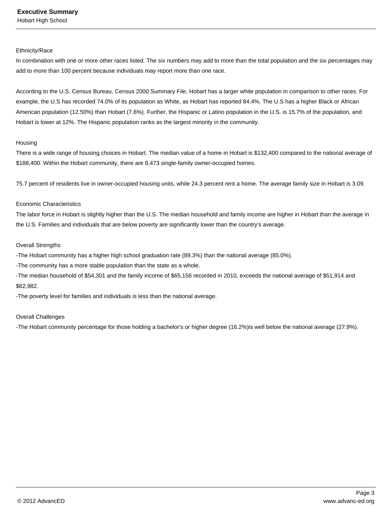Hobart High School

#### Ethnicity/Race

In combination with one or more other races listed. The six numbers may add to more than the total population and the six percentages may add to more than 100 percent because individuals may report more than one race.

According to the U.S. Census Bureau, Census 2000 Summary File, Hobart has a larger white population in comparison to other races. For example, the U.S has recorded 74.0% of its population as White, as Hobart has reported 84.4%. The U.S has a higher Black or African American population (12.50%) than Hobart (7.6%). Further, the Hispanic or Latino population in the U.S. is 15.7% of the population, and Hobart is lower at 12%. The Hispanic population ranks as the largest minority in the community.

#### Housing

There is a wide range of housing choices in Hobart. The median value of a home in Hobart is \$132,400 compared to the national average of \$188,400. Within the Hobart community, there are 8,473 single-family owner-occupied homes.

75.7 percent of residents live in owner-occupied housing units, while 24.3 percent rent a home. The average family size in Hobart is 3.09.

#### Economic Characteristics

The labor force in Hobart is slightly higher than the U.S. The median household and family income are higher in Hobart than the average in the U.S. Families and individuals that are below poverty are significantly lower than the country's average.

#### Overall Strengths

-The Hobart community has a higher high school graduation rate (89.3%) than the national average (85.0%).

-The community has a more stable population than the state as a whole.

-The median household of \$54,301 and the family income of \$65,156 recorded in 2010, exceeds the national average of \$51,914 and \$62,982.

-The poverty level for families and individuals is less than the national average.

### Overall Challenges

-The Hobart community percentage for those holding a bachelor's or higher degree (16.2%)is well below the national average (27.9%).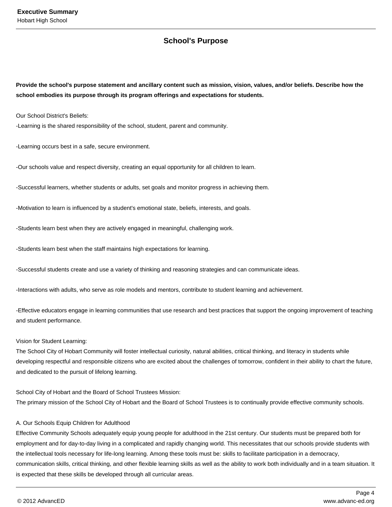# **School's Purpose**

**Provide the school's purpose statement and ancillary content such as mission, vision, values, and/or beliefs. Describe how the school embodies its purpose through its program offerings and expectations for students.**

Our School District's Beliefs:

-Learning is the shared responsibility of the school, student, parent and community.

-Learning occurs best in a safe, secure environment.

-Our schools value and respect diversity, creating an equal opportunity for all children to learn.

-Successful learners, whether students or adults, set goals and monitor progress in achieving them.

-Motivation to learn is influenced by a student's emotional state, beliefs, interests, and goals.

-Students learn best when they are actively engaged in meaningful, challenging work.

-Students learn best when the staff maintains high expectations for learning.

-Successful students create and use a variety of thinking and reasoning strategies and can communicate ideas.

-Interactions with adults, who serve as role models and mentors, contribute to student learning and achievement.

-Effective educators engage in learning communities that use research and best practices that support the ongoing improvement of teaching and student performance.

#### Vision for Student Learning:

The School City of Hobart Community will foster intellectual curiosity, natural abilities, critical thinking, and literacy in students while developing respectful and responsible citizens who are excited about the challenges of tomorrow, confident in their ability to chart the future, and dedicated to the pursuit of lifelong learning.

School City of Hobart and the Board of School Trustees Mission: The primary mission of the School City of Hobart and the Board of School Trustees is to continually provide effective community schools.

#### A. Our Schools Equip Children for Adulthood

Effective Community Schools adequately equip young people for adulthood in the 21st century. Our students must be prepared both for employment and for day-to-day living in a complicated and rapidly changing world. This necessitates that our schools provide students with the intellectual tools necessary for life-long learning. Among these tools must be: skills to facilitate participation in a democracy, communication skills, critical thinking, and other flexible learning skills as well as the ability to work both individually and in a team situation. It is expected that these skills be developed through all curricular areas.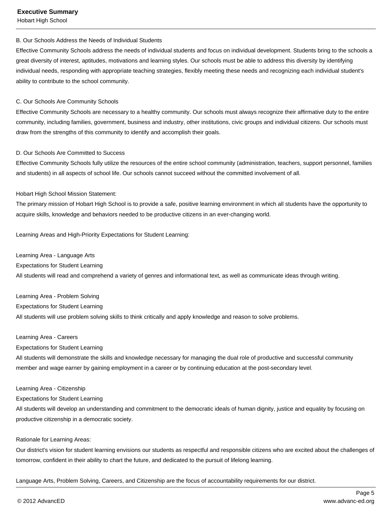### **Executive Summary**

Hobart High School

#### B. Our Schools Address the Needs of Individual Students

Effective Community Schools address the needs of individual students and focus on individual development. Students bring to the schools a great diversity of interest, aptitudes, motivations and learning styles. Our schools must be able to address this diversity by identifying individual needs, responding with appropriate teaching strategies, flexibly meeting these needs and recognizing each individual student's ability to contribute to the school community.

#### C. Our Schools Are Community Schools

Effective Community Schools are necessary to a healthy community. Our schools must always recognize their affirmative duty to the entire community, including families, government, business and industry, other institutions, civic groups and individual citizens. Our schools must draw from the strengths of this community to identify and accomplish their goals.

#### D. Our Schools Are Committed to Success

Effective Community Schools fully utilize the resources of the entire school community (administration, teachers, support personnel, families and students) in all aspects of school life. Our schools cannot succeed without the committed involvement of all.

#### Hobart High School Mission Statement:

The primary mission of Hobart High School is to provide a safe, positive learning environment in which all students have the opportunity to acquire skills, knowledge and behaviors needed to be productive citizens in an ever-changing world.

Learning Areas and High-Priority Expectations for Student Learning:

Learning Area - Language Arts Expectations for Student Learning All students will read and comprehend a variety of genres and informational text, as well as communicate ideas through writing.

Learning Area - Problem Solving Expectations for Student Learning All students will use problem solving skills to think critically and apply knowledge and reason to solve problems.

#### Learning Area - Careers

Expectations for Student Learning

All students will demonstrate the skills and knowledge necessary for managing the dual role of productive and successful community member and wage earner by gaining employment in a career or by continuing education at the post-secondary level.

#### Learning Area - Citizenship

Expectations for Student Learning

All students will develop an understanding and commitment to the democratic ideals of human dignity, justice and equality by focusing on productive citizenship in a democratic society.

#### Rationale for Learning Areas:

Our district's vision for student learning envisions our students as respectful and responsible citizens who are excited about the challenges of tomorrow, confident in their ability to chart the future, and dedicated to the pursuit of lifelong learning.

Language Arts, Problem Solving, Careers, and Citizenship are the focus of accountability requirements for our district.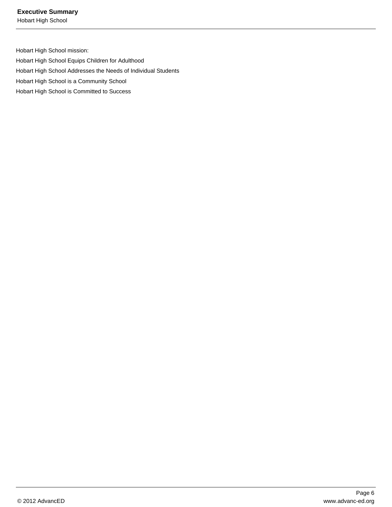Hobart High School

Hobart High School mission: Hobart High School Equips Children for Adulthood Hobart High School Addresses the Needs of Individual Students Hobart High School is a Community School Hobart High School is Committed to Success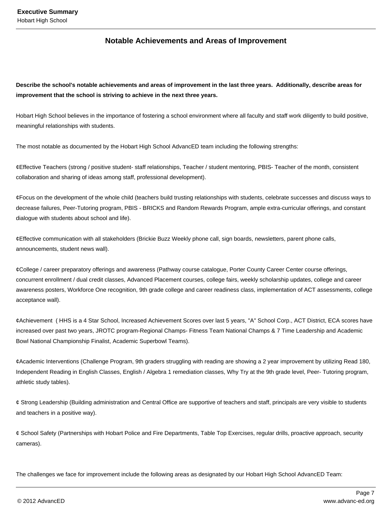# **Notable Achievements and Areas of Improvement**

**Describe the school's notable achievements and areas of improvement in the last three years. Additionally, describe areas for improvement that the school is striving to achieve in the next three years.**

Hobart High School believes in the importance of fostering a school environment where all faculty and staff work diligently to build positive, meaningful relationships with students.

The most notable as documented by the Hobart High School AdvancED team including the following strengths:

¢ Effective Teachers (strong / positive student- staff relationships, Teacher / student mentoring, PBIS- Teacher of the month, consistent collaboration and sharing of ideas among staff, professional development).

 $\phi$  Focus on the development of the whole child (teachers build trusting relationships with students, celebrate successes and discuss ways to decrease failures, Peer-Tutoring program, PBIS - BRICKS and Random Rewards Program, ample extra-curricular offerings, and constant dialogue with students about school and life).

¢ Effective communication with all stakeholders (Brickie Buzz Weekly phone call, sign boards, newsletters, parent phone calls, announcements, student news wall).

¢ College / career preparatory offerings and awareness (Pathway course catalogue, Porter County Career Center course offerings, concurrent enrollment / dual credit classes, Advanced Placement courses, college fairs, weekly scholarship updates, college and career awareness posters, Workforce One recognition, 9th grade college and career readiness class, implementation of ACT assessments, college acceptance wall).

¢ Achievement ( HHS is a 4 Star School, Increased Achievement Scores over last 5 years, "A" School Corp., ACT District, ECA scores have increased over past two years, JROTC program-Regional Champs- Fitness Team National Champs & 7 Time Leadership and Academic Bowl National Championship Finalist, Academic Superbowl Teams).

 $\phi$  Academic Interventions (Challenge Program, 9th graders struggling with reading are showing a 2 year improvement by utilizing Read 180, Independent Reading in English Classes, English / Algebra 1 remediation classes, Why Try at the 9th grade level, Peer- Tutoring program, athletic study tables).

 $\phi$  Strong Leadership (Building administration and Central Office are supportive of teachers and staff, principals are very visible to students and teachers in a positive way).

 $\varphi$  School Safety (Partnerships with Hobart Police and Fire Departments, Table Top Exercises, regular drills, proactive approach, security cameras).

The challenges we face for improvement include the following areas as designated by our Hobart High School AdvancED Team: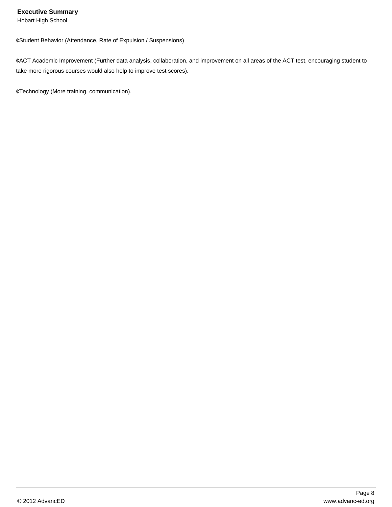### **Executive Summary**

Hobart High School

¢ Student Behavior (Attendance, Rate of Expulsion / Suspensions)

¢ ACT Academic Improvement (Further data analysis, collaboration, and improvement on all areas of the ACT test, encouraging student to take more rigorous courses would also help to improve test scores).

¢ Technology (More training, communication).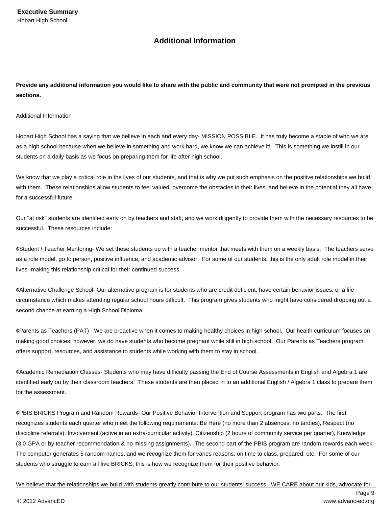# **Additional Information**

**Provide any additional information you would like to share with the public and community that were not prompted in the previous sections.**

Additional Information

Hobart High School has a saying that we believe in each and every day- MISSION POSSIBLE. It has truly become a staple of who we are as a high school because when we believe in something and work hard, we know we can achieve it! This is something we instill in our students on a daily basis as we focus on preparing them for life after high school.

We know that we play a critical role in the lives of our students, and that is why we put such emphasis on the positive relationships we build with them. These relationships allow students to feel valued, overcome the obstacles in their lives, and believe in the potential they all have for a successful future.

Our "at risk" students are identified early on by teachers and staff, and we work diligently to provide them with the necessary resources to be successful. These resources include:

¢ Student / Teacher Mentoring- We set these students up with a teacher mentor that meets with them on a weekly basis. The teachers serve as a role model, go to person, positive influence, and academic advisor. For some of our students, this is the only adult role model in their lives- making this relationship critical for their continued success.

¢ Alternative Challenge School- Our alternative program is for students who are credit deficient, have certain behavior issues, or a life circumstance which makes attending regular school hours difficult. This program gives students who might have considered dropping out a second chance at earning a High School Diploma.

¢ Parents as Teachers (PAT) - We are proactive when it comes to making healthy choices in high school. Our health curriculum focuses on making good choices; however, we do have students who become pregnant while still in high school. Our Parents as Teachers program offers support, resources, and assistance to students while working with them to stay in school.

 $\phi$  Academic Remediation Classes- Students who may have difficulty passing the End of Course Assessments in English and Algebra 1 are identified early on by their classroom teachers. These students are then placed in to an additional English / Algebra 1 class to prepare them for the assessment.

¢ PBIS BRICKS Program and Random Rewards- Our Positive Behavior Intervention and Support program has two parts. The first recognizes students each quarter who meet the following requirements: Be Here (no more than 2 absences, no tardies), Respect (no discipline referrals), Involvement (active in an extra-curricular activity), Citizenship (2 hours of community service per quarter), Knowledge (3.0 GPA or by teacher recommendation & no missing assignments). The second part of the PBIS program are random rewards each week. The computer generates 5 random names, and we recognize them for varies reasons: on time to class, prepared, etc. For some of our students who struggle to earn all five BRICKS, this is how we recognize them for their positive behavior.

We believe that the relationships we build with students greatly contribute to our students' success. WE CARE about our kids, advocate for